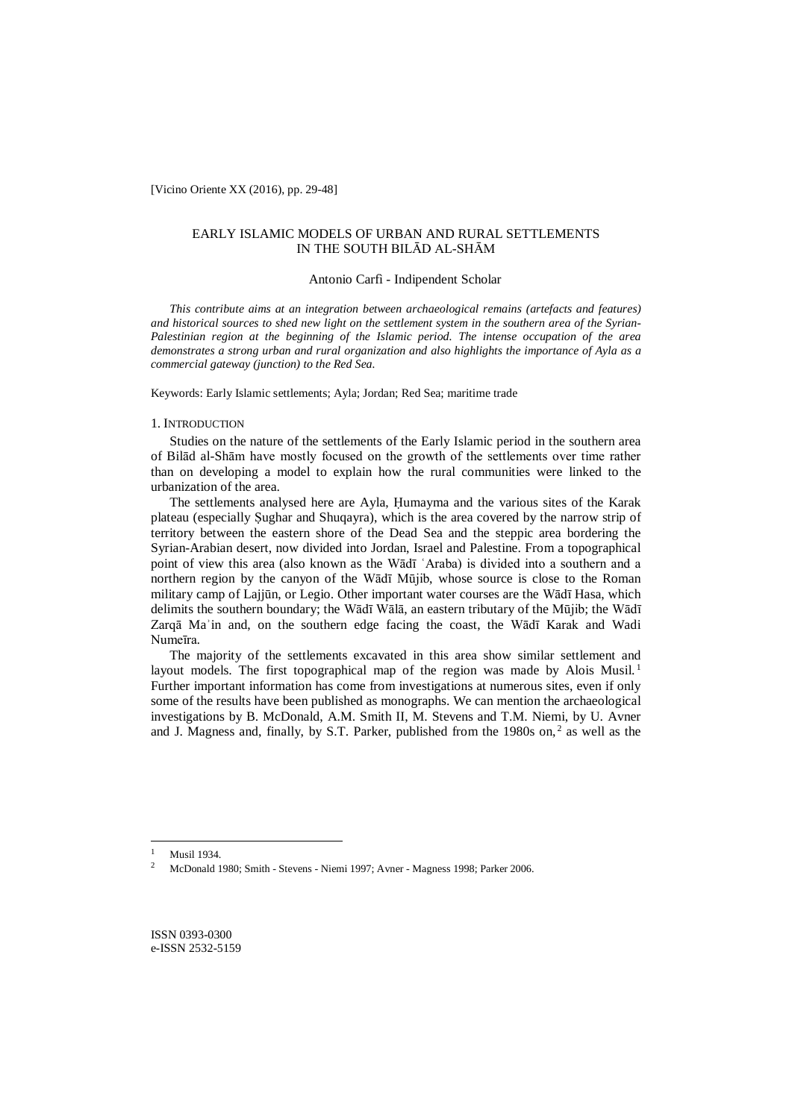[Vicino Oriente XX (2016), pp. 29-48]

## EARLY ISLAMIC MODELS OF URBAN AND RURAL SETTLEMENTS IN THE SOUTH BILĀD AL-SHĀM

## Antonio Carfì - Indipendent Scholar

*This contribute aims at an integration between archaeological remains (artefacts and features) and historical sources to shed new light on the settlement system in the southern area of the Syrian-Palestinian region at the beginning of the Islamic period. The intense occupation of the area demonstrates a strong urban and rural organization and also highlights the importance of Ayla as a commercial gateway (junction) to the Red Sea.*

Keywords: Early Islamic settlements; Ayla; Jordan; Red Sea; maritime trade

## 1. INTRODUCTION

Studies on the nature of the settlements of the Early Islamic period in the southern area of Bilād al-Shām have mostly focused on the growth of the settlements over time rather than on developing a model to explain how the rural communities were linked to the urbanization of the area.

The settlements analysed here are Ayla, Ḥumayma and the various sites of the Karak plateau (especially Ṣughar and Shuqayra), which is the area covered by the narrow strip of territory between the eastern shore of the Dead Sea and the steppic area bordering the Syrian-Arabian desert, now divided into Jordan, Israel and Palestine. From a topographical point of view this area (also known as the Wādī ʿAraba) is divided into a southern and a northern region by the canyon of the Wādī Mūjib, whose source is close to the Roman military camp of Lajjūn, or Legio. Other important water courses are the Wādī Hasa, which delimits the southern boundary; the Wādī Wālā, an eastern tributary of the Mūjib; the Wādī Zarqā Maʾin and, on the southern edge facing the coast, the Wādī Karak and Wadi Numeīra*.*

The majority of the settlements excavated in this area show similar settlement and layout models. The first topographical map of the region was made by Alois Musil.<sup>1</sup> Further important information has come from investigations at numerous sites, even if only some of the results have been published as monographs. We can mention the archaeological investigations by B. McDonald, A.M. Smith II, M. Stevens and T.M. Niemi, by U. Avner and J. Magness and, finally, by S.T. Parker, published from the 1980s on, $2$  as well as the

<sup>&</sup>lt;sup>1</sup> Musil 1934.<br><sup>2</sup> MeDopold 1

<sup>2</sup> McDonald 1980; Smith - Stevens - Niemi 1997; Avner - Magness 1998; Parker 2006.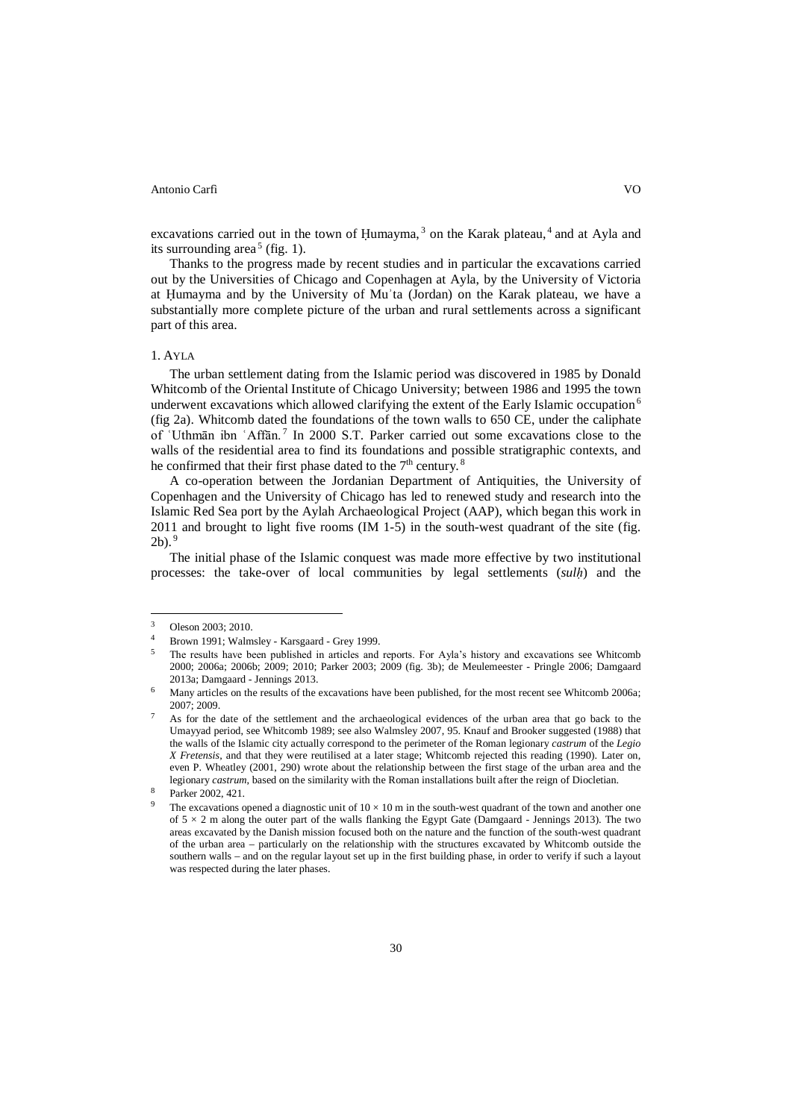excavations carried out in the town of Humayma,  $3$  on the Karak plateau,  $4$  and at Ayla and its surrounding area<sup>5</sup> (fig. 1).

Thanks to the progress made by recent studies and in particular the excavations carried out by the Universities of Chicago and Copenhagen at Ayla, by the University of Victoria at Ḥumayma and by the University of Muʾta (Jordan) on the Karak plateau, we have a substantially more complete picture of the urban and rural settlements across a significant part of this area.

## 1. AYLA

The urban settlement dating from the Islamic period was discovered in 1985 by Donald Whitcomb of the Oriental Institute of Chicago University; between 1986 and 1995 the town underwent excavations which allowed clarifying the extent of the Early Islamic occupation<sup>6</sup> (fig 2a). Whitcomb dated the foundations of the town walls to 650 CE, under the caliphate of ʿUthmān ibn ʿAffān. <sup>7</sup> In 2000 S.T. Parker carried out some excavations close to the walls of the residential area to find its foundations and possible stratigraphic contexts, and he confirmed that their first phase dated to the  $7<sup>th</sup>$  century.<sup>8</sup>

A co-operation between the Jordanian Department of Antiquities, the University of Copenhagen and the University of Chicago has led to renewed study and research into the Islamic Red Sea port by the Aylah Archaeological Project (AAP), which began this work in 2011 and brought to light five rooms (IM 1-5) in the south-west quadrant of the site (fig.  $2<sup>b</sup>$ .<sup>9</sup>

The initial phase of the Islamic conquest was made more effective by two institutional processes: the take-over of local communities by legal settlements (*sulḥ*) and the

<sup>3</sup> Oleson 2003; 2010.

<sup>4</sup> Brown 1991; Walmsley - Karsgaard - Grey 1999.

<sup>5</sup> The results have been published in articles and reports. For Ayla's history and excavations see Whitcomb 2000; 2006a; 2006b; 2009; 2010; Parker 2003; 2009 (fig. 3b); de Meulemeester - Pringle 2006; Damgaard 2013a; Damgaard - Jennings 2013.

Many articles on the results of the excavations have been published, for the most recent see Whitcomb 2006a; 2007; 2009.

As for the date of the settlement and the archaeological evidences of the urban area that go back to the Umayyad period, see Whitcomb 1989; see also Walmsley 2007, 95. Knauf and Brooker suggested (1988) that the walls of the Islamic city actually correspond to the perimeter of the Roman legionary *castrum* of the *Legio X Fretensis*, and that they were reutilised at a later stage; Whitcomb rejected this reading (1990). Later on, even P. Wheatley (2001, 290) wrote about the relationship between the first stage of the urban area and the legionary *castrum*, based on the similarity with the Roman installations built after the reign of Diocletian.

Parker 2002, 421.

The excavations opened a diagnostic unit of  $10 \times 10$  m in the south-west quadrant of the town and another one of  $5 \times 2$  m along the outer part of the walls flanking the Egypt Gate (Damgaard - Jennings 2013). The two areas excavated by the Danish mission focused both on the nature and the function of the south-west quadrant of the urban area – particularly on the relationship with the structures excavated by Whitcomb outside the southern walls – and on the regular layout set up in the first building phase, in order to verify if such a layout was respected during the later phases.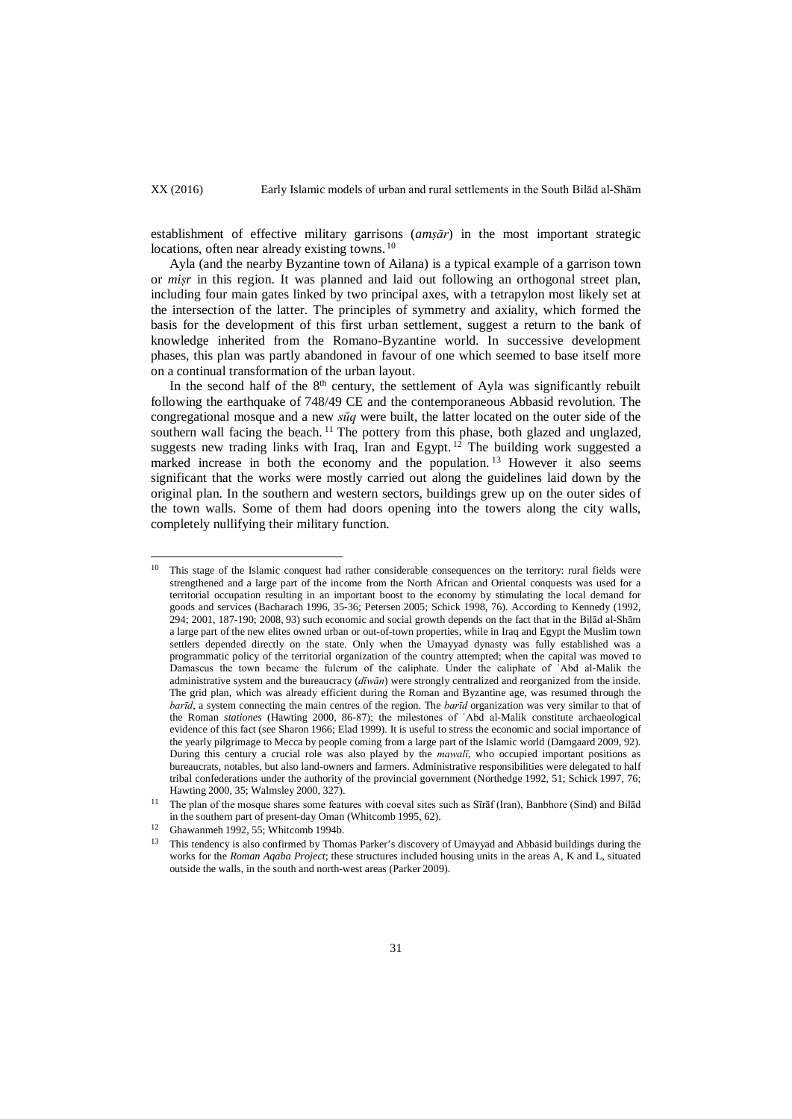establishment of effective military garrisons (*amṣār*) in the most important strategic locations, often near already existing towns.<sup>10</sup>

Ayla (and the nearby Byzantine town of Ailana) is a typical example of a garrison town or *miṣr* in this region. It was planned and laid out following an orthogonal street plan, including four main gates linked by two principal axes, with a tetrapylon most likely set at the intersection of the latter*.* The principles of symmetry and axiality, which formed the basis for the development of this first urban settlement, suggest a return to the bank of knowledge inherited from the Romano-Byzantine world. In successive development phases, this plan was partly abandoned in favour of one which seemed to base itself more on a continual transformation of the urban layout.

In the second half of the  $8<sup>th</sup>$  century, the settlement of Ayla was significantly rebuilt following the earthquake of 748/49 CE and the contemporaneous Abbasid revolution. The congregational mosque and a new *sūq* were built, the latter located on the outer side of the southern wall facing the beach.<sup>11</sup> The pottery from this phase, both glazed and unglazed, such that the lines of the parties of the process new trading links with Iraq, Iran and Egypt. <sup>12</sup> The building work suggested a marked increase in both the economy and the population.<sup>13</sup> However it also seems significant that the works were mostly carried out along the guidelines laid down by the original plan. In the southern and western sectors, buildings grew up on the outer sides of the town walls. Some of them had doors opening into the towers along the city walls, completely nullifying their military function.

This stage of the Islamic conquest had rather considerable consequences on the territory: rural fields were strengthened and a large part of the income from the North African and Oriental conquests was used for a territorial occupation resulting in an important boost to the economy by stimulating the local demand for goods and services (Bacharach 1996, 35-36; Petersen 2005; Schick 1998, 76). According to Kennedy (1992, 294; 2001, 187-190; 2008, 93) such economic and social growth depends on the fact that in the Bilād al-Shām a large part of the new elites owned urban or out-of-town properties, while in Iraq and Egypt the Muslim town settlers depended directly on the state. Only when the Umayyad dynasty was fully established was a programmatic policy of the territorial organization of the country attempted; when the capital was moved to Damascus the town became the fulcrum of the caliphate. Under the caliphate of ʿAbd al-Malik the administrative system and the bureaucracy (*dīwān*) were strongly centralized and reorganized from the inside. The grid plan, which was already efficient during the Roman and Byzantine age, was resumed through the *barīd*, a system connecting the main centres of the region. The *barīd* organization was very similar to that of the Roman *stationes* (Hawting 2000, 86-87); the milestones of ʿAbd al-Malik constitute archaeological evidence of this fact (see Sharon 1966; Elad 1999). It is useful to stress the economic and social importance of the yearly pilgrimage to Mecca by people coming from a large part of the Islamic world (Damgaard 2009, 92). During this century a crucial role was also played by the *mawalī*, who occupied important positions as bureaucrats, notables, but also land-owners and farmers. Administrative responsibilities were delegated to half tribal confederations under the authority of the provincial government (Northedge 1992, 51; Schick 1997, 76; Hawting 2000, 35; Walmsley 2000, 327).  $10<sup>10</sup>$ 

<sup>&</sup>lt;sup>11</sup> The plan of the mosque shares some features with coeval sites such as Sīrāf (Iran), Banbhore (Sind) and Bilād in the southern part of present-day Oman (Whitcomb 1995, 62).

<sup>12</sup> Ghawanmeh 1992, 55; Whitcomb 1994b.

This tendency is also confirmed by Thomas Parker's discovery of Umayyad and Abbasid buildings during the works for the *Roman Aqaba Project*; these structures included housing units in the areas A, K and L, situated outside the walls, in the south and north-west areas (Parker 2009).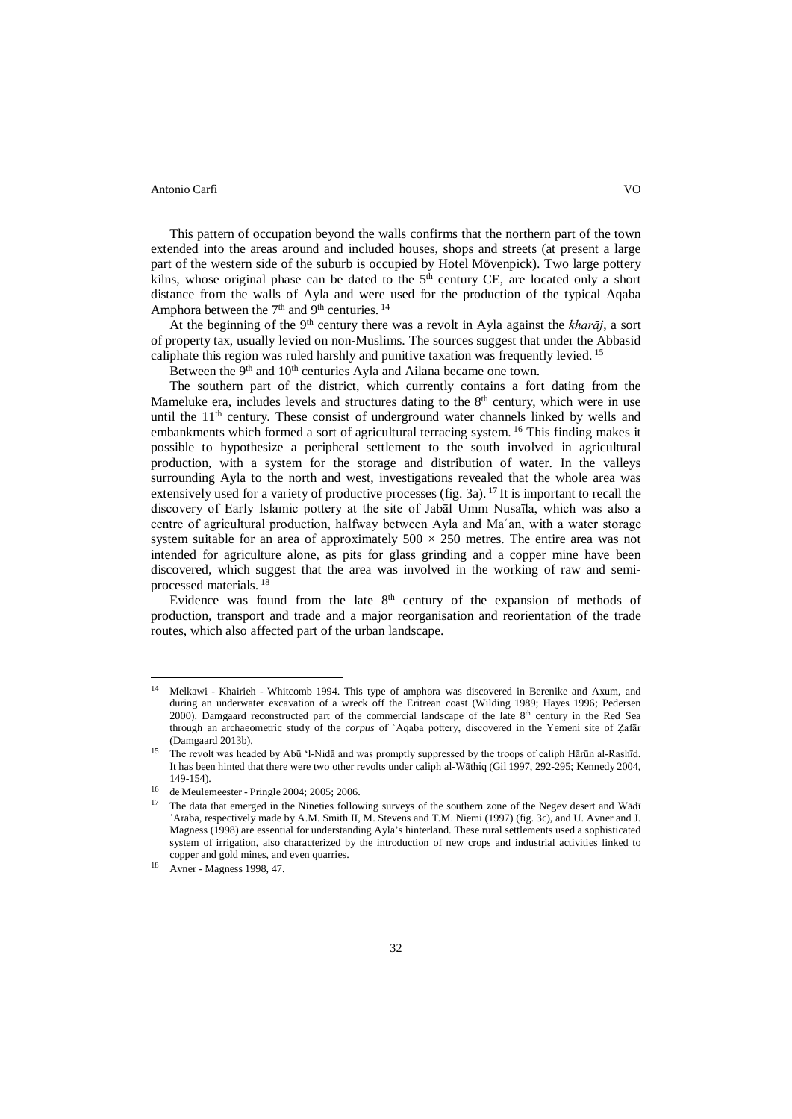This pattern of occupation beyond the walls confirms that the northern part of the town extended into the areas around and included houses, shops and streets (at present a large part of the western side of the suburb is occupied by Hotel Mövenpick). Two large pottery kilns, whose original phase can be dated to the  $5<sup>th</sup>$  century CE, are located only a short distance from the walls of Ayla and were used for the production of the typical Aqaba Amphora between the  $7<sup>th</sup>$  and  $9<sup>th</sup>$  centuries. <sup>14</sup>

At the beginning of the 9th century there was a revolt in Ayla against the *kharāj*, a sort of property tax, usually levied on non-Muslims. The sources suggest that under the Abbasid caliphate this region was ruled harshly and punitive taxation was frequently levied.<sup>15</sup>

Between the 9<sup>th</sup> and 10<sup>th</sup> centuries Ayla and Ailana became one town.

The southern part of the district, which currently contains a fort dating from the Mameluke era, includes levels and structures dating to the  $8<sup>th</sup>$  century, which were in use until the  $11<sup>th</sup>$  century. These consist of underground water channels linked by wells and embankments which formed a sort of agricultural terracing system. <sup>16</sup> This finding makes it possible to hypothesize a peripheral settlement to the south involved in agricultural production, with a system for the storage and distribution of water. In the valleys surrounding Ayla to the north and west, investigations revealed that the whole area was extensively used for a variety of productive processes (fig. 3a). <sup>17</sup> It is important to recall the discovery of Early Islamic pottery at the site of Jabāl Umm Nusaīla, which was also a centre of agricultural production, halfway between Ayla and Maʿan, with a water storage system suitable for an area of approximately  $500 \times 250$  metres. The entire area was not intended for agriculture alone, as pits for glass grinding and a copper mine have been discovered, which suggest that the area was involved in the working of raw and semiprocessed materials. <sup>18</sup>

Evidence was found from the late  $8<sup>th</sup>$  century of the expansion of methods of production, transport and trade and a major reorganisation and reorientation of the trade routes, which also affected part of the urban landscape.

<sup>14</sup> Melkawi - Khairieh - Whitcomb 1994. This type of amphora was discovered in Berenike and Axum, and during an underwater excavation of a wreck off the Eritrean coast (Wilding 1989; Hayes 1996; Pedersen 2000). Damgaard reconstructed part of the commercial landscape of the late  $8<sup>th</sup>$  century in the Red Sea through an archaeometric study of the *corpus* of ʿAqaba pottery, discovered in the Yemeni site of Ẓafār (Damgaard 2013b).  $14$ 

<sup>15</sup> The revolt was headed by Abū 'l-Nidā and was promptly suppressed by the troops of caliph Hārūn al-Rashīd. It has been hinted that there were two other revolts under caliph al-Wāthiq (Gil 1997, 292-295; Kennedy 2004, 149-154).

<sup>16</sup> de Meulemeester - Pringle 2004; 2005; 2006.

<sup>17</sup> The data that emerged in the Nineties following surveys of the southern zone of the Negev desert and Wādī ʿAraba, respectively made by A.M. Smith II, M. Stevens and T.M. Niemi (1997) (fig. 3c), and U. Avner and J. Magness (1998) are essential for understanding Ayla's hinterland. These rural settlements used a sophisticated system of irrigation, also characterized by the introduction of new crops and industrial activities linked to copper and gold mines, and even quarries.

<sup>18</sup> Avner - Magness 1998, 47.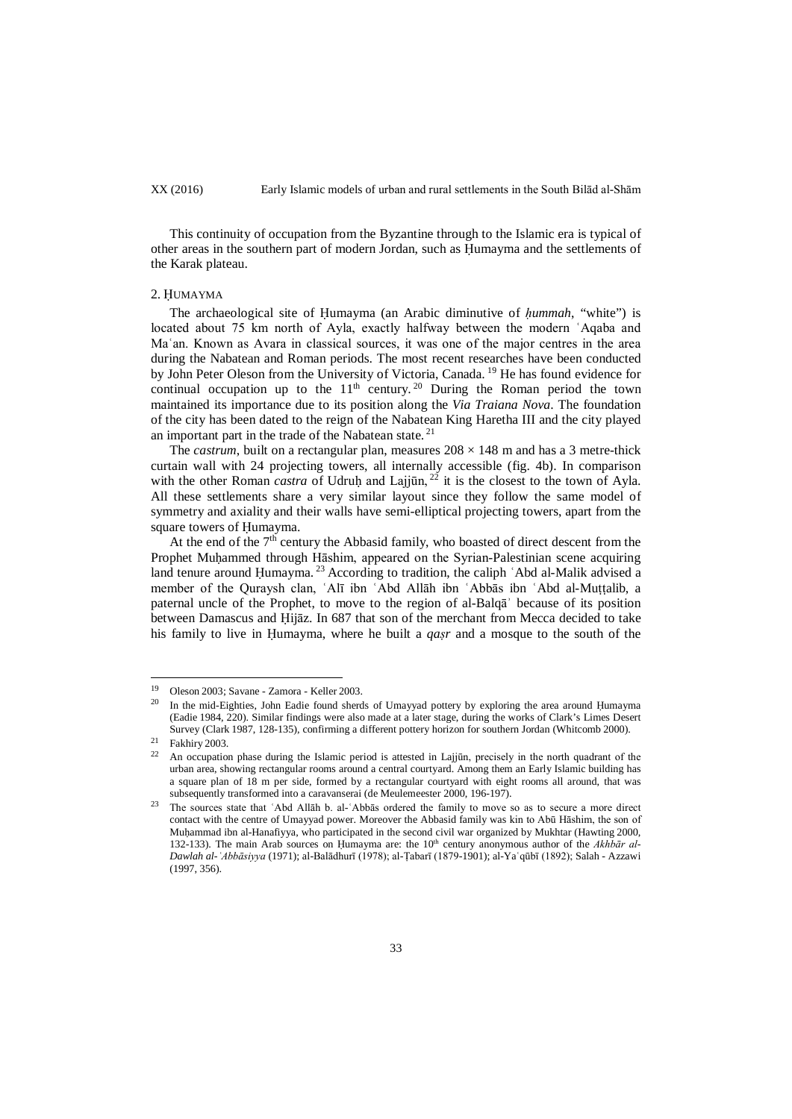This continuity of occupation from the Byzantine through to the Islamic era is typical of other areas in the southern part of modern Jordan, such as Ḥumayma and the settlements of the Karak plateau.

#### 2. ḤUMAYMA

The archaeological site of Ḥumayma (an Arabic diminutive of *ḥummah*, "white") is located about 75 km north of Ayla, exactly halfway between the modern ʿAqaba and Maʿan. Known as Avara in classical sources, it was one of the major centres in the area during the Nabatean and Roman periods. The most recent researches have been conducted by John Peter Oleson from the University of Victoria, Canada.<sup>19</sup> He has found evidence for continual occupation up to the  $11<sup>th</sup>$  century.<sup>20</sup> During the Roman period the town maintained its importance due to its position along the *Via Traiana Nova*. The foundation of the city has been dated to the reign of the Nabatean King Haretha III and the city played an important part in the trade of the Nabatean state.  $21$ 

The *castrum*, built on a rectangular plan, measures  $208 \times 148$  m and has a 3 metre-thick curtain wall with 24 projecting towers, all internally accessible (fig. 4b). In comparison with the other Roman *castra* of Udruḥ and Lajjūn, <sup>22</sup> it is the closest to the town of Ayla. All these settlements share a very similar layout since they follow the same model of symmetry and axiality and their walls have semi-elliptical projecting towers, apart from the square towers of Ḥumayma.

At the end of the  $7<sup>th</sup>$  century the Abbasid family, who boasted of direct descent from the Prophet Muḥammed through Hāshim, appeared on the Syrian-Palestinian scene acquiring land tenure around Ḥumayma.<sup>23</sup> According to tradition, the caliph 'Abd al-Malik advised a member of the Quraysh clan, ʿAlī ibn ʿAbd Allāh ibn ʿAbbās ibn ʿAbd al-Muṭṭalib, a paternal uncle of the Prophet, to move to the region of al-Balqāʾ because of its position between Damascus and Ḥijāz. In 687 that son of the merchant from Mecca decided to take his family to live in Ḥumayma, where he built a *qaṣr* and a mosque to the south of the

<sup>&</sup>lt;sup>19</sup> Oleson 2003; Savane - Zamora - Keller 2003. 19

<sup>20</sup> In the mid-Eighties, John Eadie found sherds of Umayyad pottery by exploring the area around Ḥumayma (Eadie 1984, 220). Similar findings were also made at a later stage, during the works of Clark's Limes Desert Survey (Clark 1987, 128-135), confirming a different pottery horizon for southern Jordan (Whitcomb 2000).

<sup>&</sup>lt;sup>21</sup> Fakhiry 2003.

<sup>22</sup> An occupation phase during the Islamic period is attested in Lajjūn, precisely in the north quadrant of the urban area, showing rectangular rooms around a central courtyard. Among them an Early Islamic building has a square plan of 18 m per side, formed by a rectangular courtyard with eight rooms all around, that was subsequently transformed into a caravanserai (de Meulemeester 2000, 196-197).

<sup>&</sup>lt;sup>23</sup> The sources state that `Abd Allāh b. al-`Abbās ordered the family to move so as to secure a more direct contact with the centre of Umayyad power. Moreover the Abbasid family was kin to Abū Hāshim, the son of Muḥammad ibn al-Hanafiyya, who participated in the second civil war organized by Mukhtar (Hawting 2000, 132-133). The main Arab sources on Humayma are: the 10<sup>th</sup> century anonymous author of the *Akhbār al-Dawlah al-ʿAbbāsiyya* (1971); al-Balādhurī (1978); al-Ṭabarī (1879-1901); al-Yaʿqūbī (1892); Salah - Azzawi (1997, 356).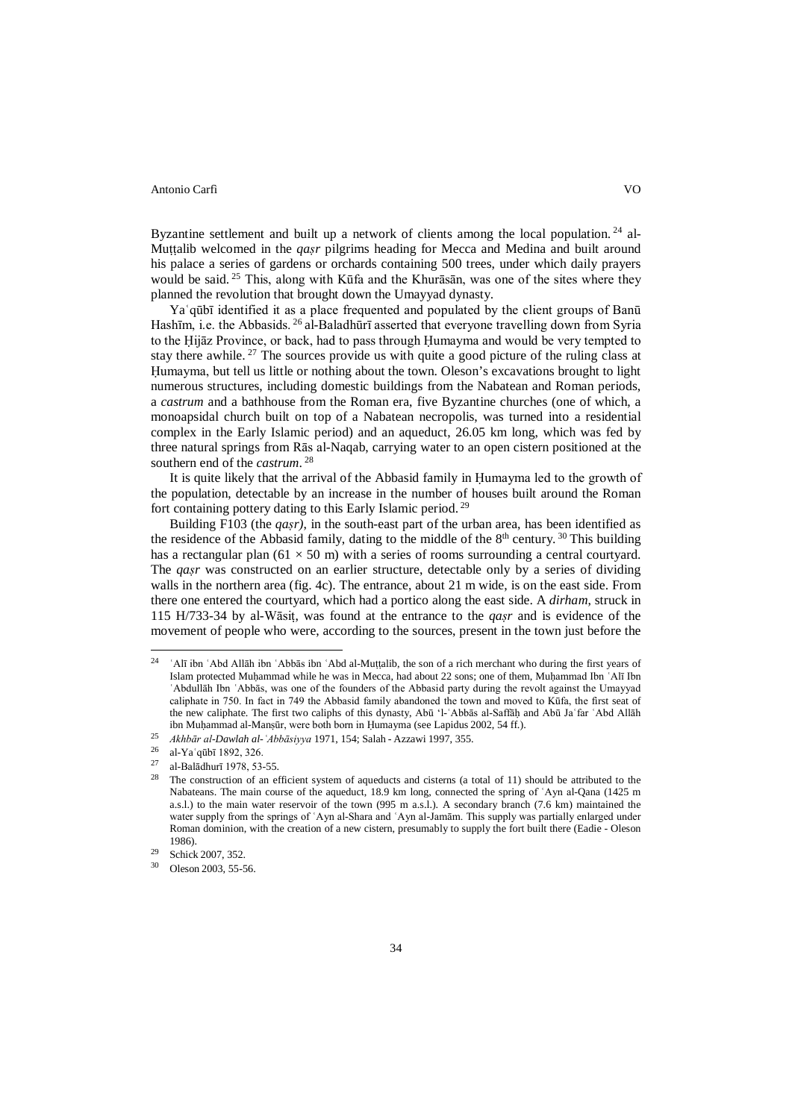Byzantine settlement and built up a network of clients among the local population.<sup>24</sup> al-Muṭṭalib welcomed in the *qaṣr* pilgrims heading for Mecca and Medina and built around his palace a series of gardens or orchards containing 500 trees, under which daily prayers would be said. <sup>25</sup> This, along with Kūfa and the Khurāsān, was one of the sites where they planned the revolution that brought down the Umayyad dynasty.

Yaʿqūbī identified it as a place frequented and populated by the client groups of Banū Hashīm, i.e. the Abbasids. <sup>26</sup> al-Baladhūrī asserted that everyone travelling down from Syria to the Ḥijāz Province, or back, had to pass through Ḥumayma and would be very tempted to stay there awhile. <sup>27</sup> The sources provide us with quite a good picture of the ruling class at Ḥumayma, but tell us little or nothing about the town. Oleson's excavations brought to light numerous structures, including domestic buildings from the Nabatean and Roman periods, a *castrum* and a bathhouse from the Roman era, five Byzantine churches (one of which, a monoapsidal church built on top of a Nabatean necropolis, was turned into a residential complex in the Early Islamic period) and an aqueduct, 26.05 km long, which was fed by three natural springs from Rās al-Naqab, carrying water to an open cistern positioned at the southern end of the *castrum*. <sup>28</sup>

It is quite likely that the arrival of the Abbasid family in Ḥumayma led to the growth of the population, detectable by an increase in the number of houses built around the Roman fort containing pottery dating to this Early Islamic period. <sup>29</sup>

Building F103 (the *qaṣr)*, in the south-east part of the urban area, has been identified as the residence of the Abbasid family, dating to the middle of the  $8<sup>th</sup>$  century. <sup>30</sup> This building has a rectangular plan (61  $\times$  50 m) with a series of rooms surrounding a central courtyard. The *qaṣr* was constructed on an earlier structure, detectable only by a series of dividing walls in the northern area (fig. 4c). The entrance, about 21 m wide, is on the east side. From there one entered the courtyard, which had a portico along the east side. A *dirham*, struck in 115 H/733-34 by al-Wāsiṭ, was found at the entrance to the *qaṣr* and is evidence of the movement of people who were, according to the sources, present in the town just before the

<sup>&</sup>lt;sup>'</sup>Alī ibn `Abd Allāh ibn `Abbās ibn `Abd al-Muṭṭalib, the son of a rich merchant who during the first years of Islam protected Muḥammad while he was in Mecca, had about 22 sons; one of them, Muḥammad Ibn ʿAlī Ibn ʿAbdullāh Ibn ʿAbbās, was one of the founders of the Abbasid party during the revolt against the Umayyad caliphate in 750. In fact in 749 the Abbasid family abandoned the town and moved to Kūfa, the first seat of the new caliphate. The first two caliphs of this dynasty, Abū 'l-ʿAbbās al-Saffāḥ and Abū Jaʿfar ʿAbd Allāh ibn Muḥammad al-Manṣūr, were both born in Ḥumayma (see Lapidus 2002, 54 ff.).  $24$ 

<sup>25</sup> *Akhbār al-Dawlah al-ʿAbbāsiyya* 1971, 154; Salah - Azzawi 1997, 355.

<sup>26</sup> al-Yaʿqūbī 1892, 326.

<sup>&</sup>lt;sup>27</sup> al-Balādhurī 1978, 53-55.<br><sup>28</sup> The construction of an ai

The construction of an efficient system of aqueducts and cisterns (a total of 11) should be attributed to the Nabateans. The main course of the aqueduct, 18.9 km long, connected the spring of ʿAyn al-Qana (1425 m a.s.l.) to the main water reservoir of the town (995 m a.s.l.). A secondary branch (7.6 km) maintained the water supply from the springs of ʿAyn al-Shara and ʿAyn al-Jamām. This supply was partially enlarged under Roman dominion, with the creation of a new cistern, presumably to supply the fort built there (Eadie - Oleson 1986).

<sup>&</sup>lt;sup>29</sup> Schick 2007, 352.<br>
<sup>30</sup> Oleson 2003, 55.5

Oleson 2003, 55-56.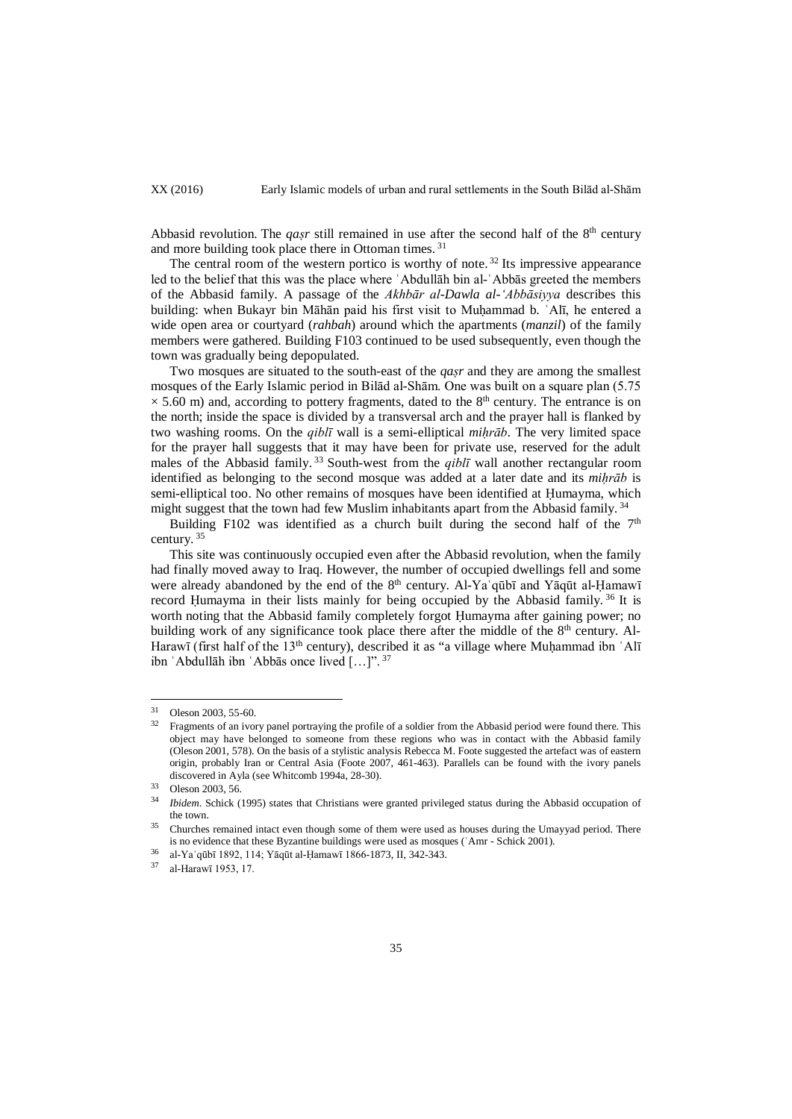Abbasid revolution. The *qasr* still remained in use after the second half of the  $8<sup>th</sup>$  century and more building took place there in Ottoman times. <sup>31</sup>

The central room of the western portico is worthy of note.  $32$  Its impressive appearance led to the belief that this was the place where ʿAbdullāh bin al-ʿAbbās greeted the members of the Abbasid family. A passage of the *Akhbār al-Dawla al-ʻAbbāsiyya* describes this building: when Bukayr bin Māhān paid his first visit to Muhammad b. `Alī, he entered a wide open area or courtyard (*rahbah*) around which the apartments (*manzil*) of the family members were gathered. Building F103 continued to be used subsequently, even though the town was gradually being depopulated.

Two mosques are situated to the south-east of the *qaṣr* and they are among the smallest mosques of the Early Islamic period in Bilād al-Shām. One was built on a square plan (5.75  $\times$  5.60 m) and, according to pottery fragments, dated to the 8<sup>th</sup> century. The entrance is on the north; inside the space is divided by a transversal arch and the prayer hall is flanked by two washing rooms. On the *qiblī* wall is a semi-elliptical *miḥrāb*. The very limited space for the prayer hall suggests that it may have been for private use, reserved for the adult males of the Abbasid family.<sup>33</sup> South-west from the *qibli* wall another rectangular room identified as belonging to the second mosque was added at a later date and its *miḥrāb* is semi-elliptical too. No other remains of mosques have been identified at Ḥumayma, which might suggest that the town had few Muslim inhabitants apart from the Abbasid family.<sup>34</sup>

Building F102 was identified as a church built during the second half of the  $7<sup>th</sup>$ century.<sup>35</sup>

This site was continuously occupied even after the Abbasid revolution, when the family had finally moved away to Iraq. However, the number of occupied dwellings fell and some were already abandoned by the end of the  $8<sup>th</sup>$  century. Al-Ya qūbī and Yāqūt al-Hamawī record Humayma in their lists mainly for being occupied by the Abbasid family. <sup>36</sup> It is worth noting that the Abbasid family completely forgot Ḥumayma after gaining power; no building work of any significance took place there after the middle of the  $8<sup>th</sup>$  century. Al-Harawī (first half of the  $13<sup>th</sup>$  century), described it as "a village where Muḥammad ibn  $\Delta$ lī ibn ʿAbdullāh ibn ʿAbbās once lived […]". <sup>37</sup>

<sup>&</sup>lt;sup>31</sup> Oleson 2003, 55-60.<br><sup>32</sup> Fragments of an ivory panel portraying the profile of a soldier from the Abbasid period were found there. This object may have belonged to someone from these regions who was in contact with the Abbasid family (Oleson 2001, 578). On the basis of a stylistic analysis Rebecca M. Foote suggested the artefact was of eastern origin, probably Iran or Central Asia (Foote 2007, 461-463). Parallels can be found with the ivory panels discovered in Ayla (see Whitcomb 1994a, 28-30).

 $33 \text{ Oleson } 2003, 56.$ 

*Ibidem*. Schick (1995) states that Christians were granted privileged status during the Abbasid occupation of the town.

<sup>&</sup>lt;sup>35</sup> Churches remained intact even though some of them were used as houses during the Umayyad period. There is no evidence that these Byzantine buildings were used as mosques (ʿAmr - Schick 2001).

<sup>&</sup>lt;sup>36</sup> al-Ya´qūbī 1892, 114; Yāqūt al-Ḥamawī 1866-1873, II, 342-343.<br><sup>37</sup> al-Hamawī 1053, 17

al-Harawī 1953, 17.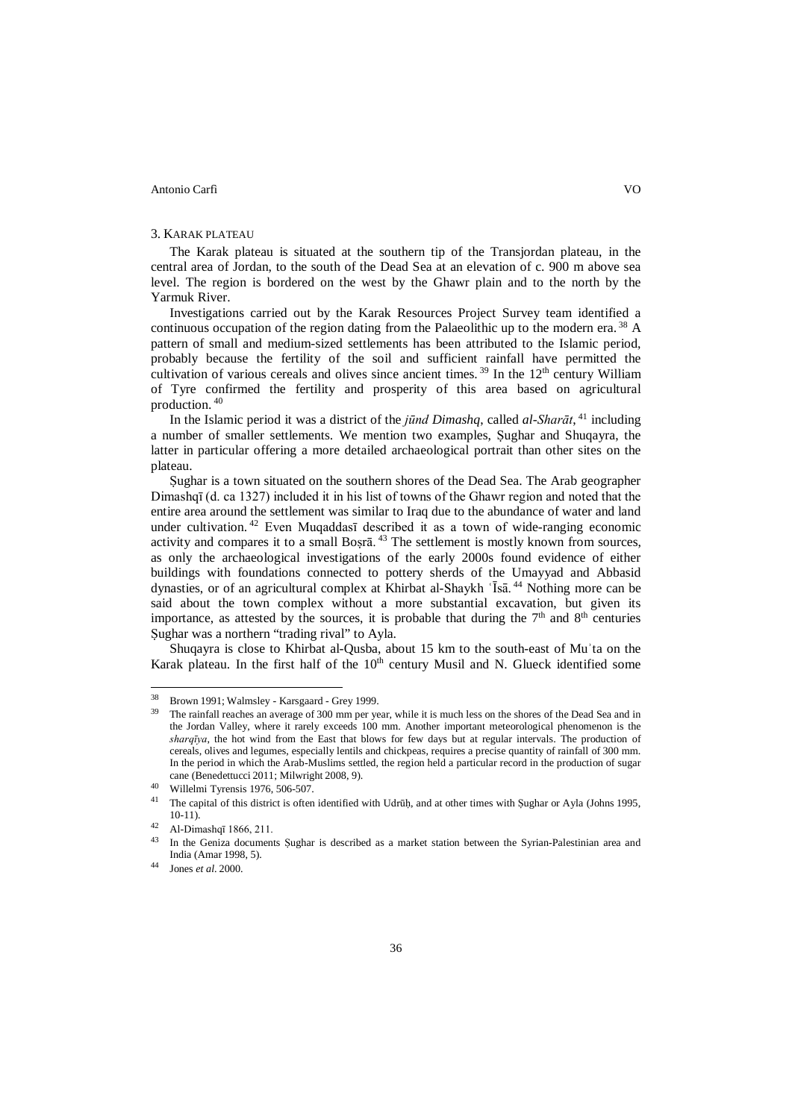## 3. KARAK PLATEAU

The Karak plateau is situated at the southern tip of the Transjordan plateau, in the central area of Jordan, to the south of the Dead Sea at an elevation of c. 900 m above sea level. The region is bordered on the west by the Ghawr plain and to the north by the Yarmuk River.

Investigations carried out by the Karak Resources Project Survey team identified a continuous occupation of the region dating from the Palaeolithic up to the modern era. <sup>38</sup> A pattern of small and medium-sized settlements has been attributed to the Islamic period, probably because the fertility of the soil and sufficient rainfall have permitted the cultivation of various cereals and olives since ancient times.<sup>39</sup> In the  $12<sup>th</sup>$  century William of Tyre confirmed the fertility and prosperity of this area based on agricultural production. <sup>40</sup>

In the Islamic period it was a district of the *jūnd Dimashq*, called *al-Sharāt*, <sup>41</sup> including a number of smaller settlements. We mention two examples, Ṣughar and Shuqayra, the latter in particular offering a more detailed archaeological portrait than other sites on the plateau.

Ṣughar is a town situated on the southern shores of the Dead Sea. The Arab geographer Dimashqī (d. ca 1327) included it in his list of towns of the Ghawr region and noted that the entire area around the settlement was similar to Iraq due to the abundance of water and land under cultivation. <sup>42</sup> Even Muqaddasī described it as a town of wide-ranging economic activity and compares it to a small Bosrā.<sup>43</sup> The settlement is mostly known from sources, as only the archaeological investigations of the early 2000s found evidence of either buildings with foundations connected to pottery sherds of the Umayyad and Abbasid dynasties, or of an agricultural complex at Khirbat al-Shaykh ʿĪsā. <sup>44</sup> Nothing more can be said about the town complex without a more substantial excavation, but given its importance, as attested by the sources, it is probable that during the  $7<sup>th</sup>$  and  $8<sup>th</sup>$  centuries Sughar was a northern "trading rival" to Ayla.

Shuqayra is close to Khirbat al-Qusba, about 15 km to the south-east of Muʾta on the Karak plateau. In the first half of the  $10<sup>th</sup>$  century Musil and N. Glueck identified some

<sup>38</sup> Brown 1991; Walmsley - Karsgaard - Grey 1999.

The rainfall reaches an average of 300 mm per year, while it is much less on the shores of the Dead Sea and in the Jordan Valley, where it rarely exceeds 100 mm. Another important meteorological phenomenon is the *sharqīya*, the hot wind from the East that blows for few days but at regular intervals. The production of cereals, olives and legumes, especially lentils and chickpeas, requires a precise quantity of rainfall of 300 mm. In the period in which the Arab-Muslims settled, the region held a particular record in the production of sugar cane (Benedettucci 2011; Milwright 2008, 9).

<sup>40</sup> Willelmi Tyrensis 1976, 506-507.

The capital of this district is often identified with Udrūh, and at other times with Sughar or Ayla (Johns 1995, 10-11).

 $^{42}$  Al-Dimashqī 1866, 211.

In the Geniza documents Şughar is described as a market station between the Syrian-Palestinian area and India (Amar 1998, 5).

<sup>44</sup> Jones *et al*. 2000.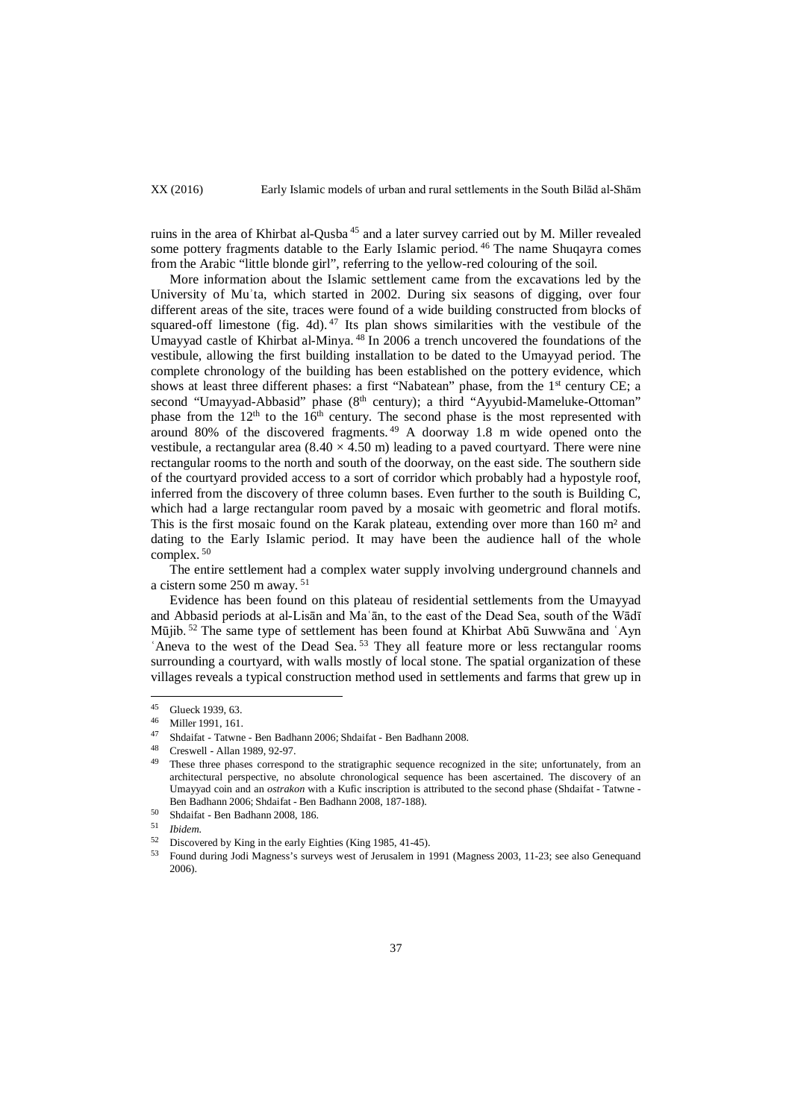ruins in the area of Khirbat al-Qusba <sup>45</sup> and a later survey carried out by M. Miller revealed some pottery fragments datable to the Early Islamic period.<sup>46</sup> The name Shuqayra comes from the Arabic "little blonde girl", referring to the yellow-red colouring of the soil.

More information about the Islamic settlement came from the excavations led by the University of Muʾta, which started in 2002. During six seasons of digging, over four different areas of the site, traces were found of a wide building constructed from blocks of squared-off limestone (fig. 4d).  $47$  Its plan shows similarities with the vestibule of the Umayyad castle of Khirbat al-Minya. <sup>48</sup> In 2006 a trench uncovered the foundations of the vestibule, allowing the first building installation to be dated to the Umayyad period. The complete chronology of the building has been established on the pottery evidence, which shows at least three different phases: a first "Nabatean" phase, from the 1<sup>st</sup> century CE; a second "Umayyad-Abbasid" phase (8<sup>th</sup> century); a third "Ayyubid-Mameluke-Ottoman" phase from the  $12<sup>th</sup>$  to the  $16<sup>th</sup>$  century. The second phase is the most represented with around 80% of the discovered fragments. <sup>49</sup> A doorway 1.8 m wide opened onto the vestibule, a rectangular area  $(8.40 \times 4.50 \text{ m})$  leading to a paved courtyard. There were nine rectangular rooms to the north and south of the doorway, on the east side. The southern side of the courtyard provided access to a sort of corridor which probably had a hypostyle roof, inferred from the discovery of three column bases. Even further to the south is Building C, which had a large rectangular room paved by a mosaic with geometric and floral motifs. This is the first mosaic found on the Karak plateau, extending over more than 160 m<sup>2</sup> and dating to the Early Islamic period. It may have been the audience hall of the whole complex. <sup>50</sup>

The entire settlement had a complex water supply involving underground channels and a cistern some 250 m away. <sup>51</sup>

Evidence has been found on this plateau of residential settlements from the Umayyad and Abbasid periods at al-Lisān and Maʿān, to the east of the Dead Sea, south of the Wādī Mūjib. <sup>52</sup> The same type of settlement has been found at Khirbat Abū Suwwāna and ʿAyn 'Aneva to the west of the Dead Sea.<sup>53</sup> They all feature more or less rectangular rooms surrounding a courtyard, with walls mostly of local stone. The spatial organization of these villages reveals a typical construction method used in settlements and farms that grew up in

 $^{45}$  Glueck 1939, 63.  $45$ 

<sup>46</sup> Miller 1991, 161.

 $^{47}$  Shdaifat - Tatwne - Ben Badhann 2006; Shdaifat - Ben Badhann 2008.

 $^{48}$  Creswell - Allan 1989, 92-97.

These three phases correspond to the stratigraphic sequence recognized in the site; unfortunately, from an architectural perspective, no absolute chronological sequence has been ascertained. The discovery of an Umayyad coin and an *ostrakon* with a Kufic inscription is attributed to the second phase (Shdaifat - Tatwne - Ben Badhann 2006; Shdaifat - Ben Badhann 2008, 187-188).

<sup>50</sup> Shdaifat - Ben Badhann 2008, 186.

<sup>51</sup> *Ibidem.*

<sup>52</sup> Discovered by King in the early Eighties (King 1985, 41-45).

<sup>53</sup> Found during Jodi Magness's surveys west of Jerusalem in 1991 (Magness 2003, 11-23; see also Genequand 2006).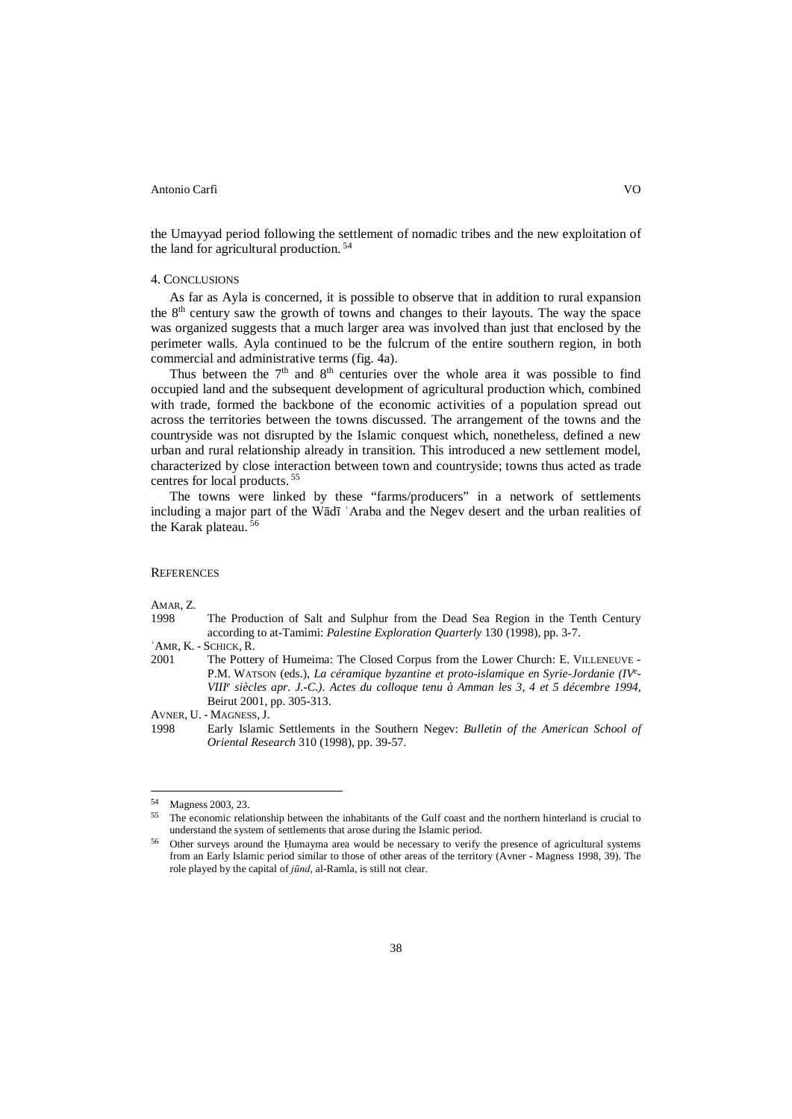the Umayyad period following the settlement of nomadic tribes and the new exploitation of the land for agricultural production. <sup>54</sup>

## 4. CONCLUSIONS

As far as Ayla is concerned, it is possible to observe that in addition to rural expansion the 8th century saw the growth of towns and changes to their layouts. The way the space was organized suggests that a much larger area was involved than just that enclosed by the perimeter walls. Ayla continued to be the fulcrum of the entire southern region, in both commercial and administrative terms (fig. 4a).

Thus between the  $7<sup>th</sup>$  and  $8<sup>th</sup>$  centuries over the whole area it was possible to find occupied land and the subsequent development of agricultural production which, combined with trade, formed the backbone of the economic activities of a population spread out across the territories between the towns discussed. The arrangement of the towns and the countryside was not disrupted by the Islamic conquest which, nonetheless, defined a new urban and rural relationship already in transition. This introduced a new settlement model, characterized by close interaction between town and countryside; towns thus acted as trade centres for local products. <sup>55</sup>

The towns were linked by these "farms/producers" in a network of settlements including a major part of the Wādī ʿAraba and the Negev desert and the urban realities of the Karak plateau. <sup>56</sup>

## **REFERENCES**

AMAR, Z.

- 1998 The Production of Salt and Sulphur from the Dead Sea Region in the Tenth Century according to at-Tamimi: *Palestine Exploration Quarterly* 130 (1998), pp. 3-7.
- 
- 'AMR, K. SCHICK, R.<br>2001 The Potte The Pottery of Humeima: The Closed Corpus from the Lower Church: E. VILLENEUVE -P.M. WATSON (eds.), *La céramique byzantine et proto-islamique en Syrie-Jordanie (IVe - VIIIe siècles apr. J.-C.). Actes du colloque tenu à Amman les 3, 4 et 5 décembre 1994*, Beirut 2001, pp. 305-313.

AVNER, U. - MAGNESS,J.

<sup>1998</sup> Early Islamic Settlements in the Southern Negev: *Bulletin of the American School of Oriental Research* 310 (1998), pp. 39-57.

<sup>54</sup> Magness 2003, 23.

<sup>&</sup>lt;sup>55</sup> The economic relationship between the inhabitants of the Gulf coast and the northern hinterland is crucial to understand the system of settlements that arose during the Islamic period.

<sup>56</sup> Other surveys around the Ḥumayma area would be necessary to verify the presence of agricultural systems from an Early Islamic period similar to those of other areas of the territory (Avner - Magness 1998, 39). The role played by the capital of *jūnd*, al-Ramla, is still not clear.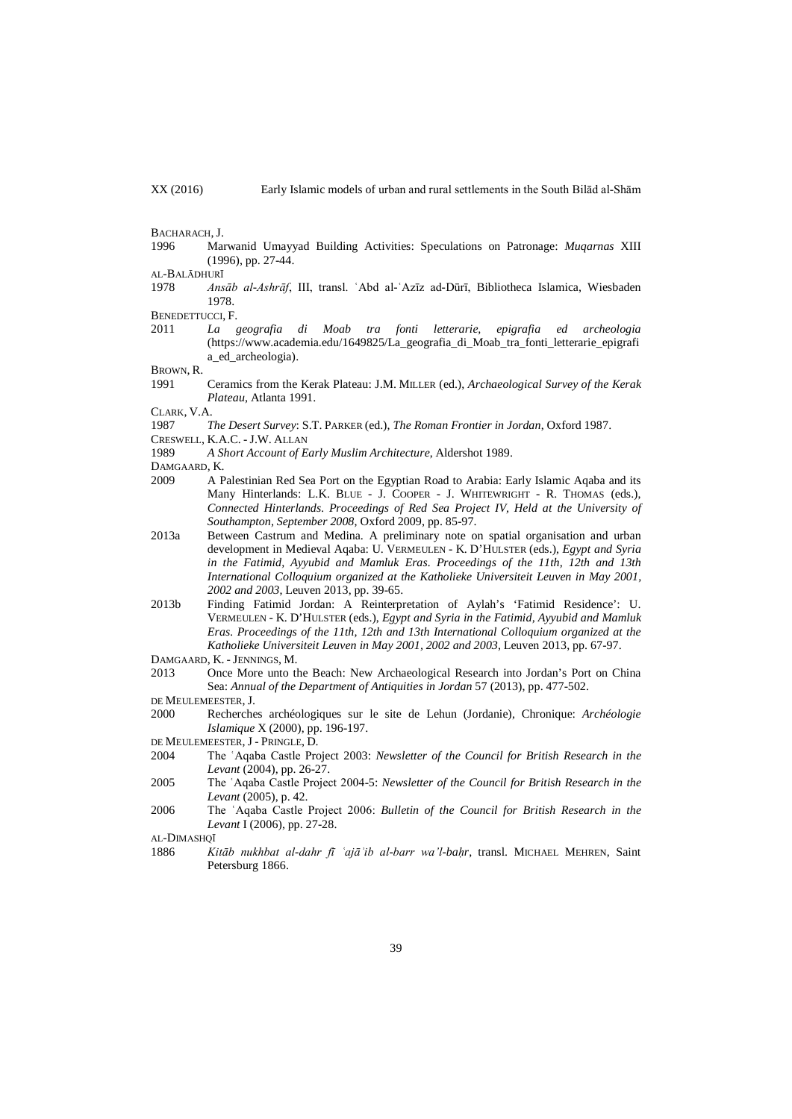BACHARACH, J.

1996 Marwanid Umayyad Building Activities: Speculations on Patronage: *Muqarnas* XIII (1996), pp. 27-44.

AL-BALĀDHURĪ<br>1978 *Ans* 

1978 *Ansāb al-Ashrāf*, III, transl. ʿAbd al-ʿAzīz ad-Dūrī, Bibliotheca Islamica, Wiesbaden 1978.

BENEDETTUCCI, F.<br>2011 La

2011 *La geografia di Moab tra fonti letterarie, epigrafia ed archeologia*  (https://www.academia.edu/1649825/La\_geografia\_di\_Moab\_tra\_fonti\_letterarie\_epigrafi a\_ed\_archeologia).

BROWN, R.

1991 Ceramics from the Kerak Plateau: J.M. MILLER (ed.), *Archaeological Survey of the Kerak Plateau*, Atlanta 1991.

CLARK, V.A.

- 1987 *The Desert Survey*: S.T. PARKER (ed.), *The Roman Frontier in Jordan*, Oxford 1987.
- CRESWELL, K.A.C. J.W. ALLAN
- 1989 *A Short Account of Early Muslim Architecture*, Aldershot 1989.
- DAMGAARD, K.
- 2009 A Palestinian Red Sea Port on the Egyptian Road to Arabia: Early Islamic Aqaba and its Many Hinterlands: L.K. BLUE - J. COOPER - J. WHITEWRIGHT - R. THOMAS (eds.), *Connected Hinterlands. Proceedings of Red Sea Project IV, Held at the University of Southampton, September 2008*, Oxford 2009, pp. 85-97.
- 2013a Between Castrum and Medina. A preliminary note on spatial organisation and urban development in Medieval Aqaba: U. VERMEULEN - K. D'HULSTER (eds.), *Egypt and Syria in the Fatimid, Ayyubid and Mamluk Eras. Proceedings of the 11th, 12th and 13th International Colloquium organized at the Katholieke Universiteit Leuven in May 2001, 2002 and 2003*, Leuven 2013, pp. 39-65.
- 2013b Finding Fatimid Jordan: A Reinterpretation of Aylah's 'Fatimid Residence': U. VERMEULEN - K. D'HULSTER (eds.), *Egypt and Syria in the Fatimid, Ayyubid and Mamluk Eras. Proceedings of the 11th, 12th and 13th International Colloquium organized at the Katholieke Universiteit Leuven in May 2001, 2002 and 2003*, Leuven 2013, pp. 67-97.
- DAMGAARD, K. JENNINGS, M.
- 2013 Once More unto the Beach: New Archaeological Research into Jordan's Port on China Sea: *Annual of the Department of Antiquities in Jordan* 57 (2013), pp. 477-502.
- DE MEULEMEESTER,J.
- 2000 Recherches archéologiques sur le site de Lehun (Jordanie), Chronique: *Archéologie Islamique* X (2000), pp. 196-197.
- DE MEULEMEESTER,J PRINGLE, D.
- 2004 The ʿAqaba Castle Project 2003: *Newsletter of the Council for British Research in the Levant* (2004), pp. 26-27.
- 2005 The ʿAqaba Castle Project 2004-5: *Newsletter of the Council for British Research in the Levant* (2005), p. 42.
- 2006 The ʿAqaba Castle Project 2006: *Bulletin of the Council for British Research in the Levant* I (2006), pp. 27-28.

AL-DIMASHQĪ

1886 *Kitāb nukhbat al-dahr fī ʿajāʾib al-barr wa'l-baḥr*, transl. MICHAEL MEHREN, Saint Petersburg 1866.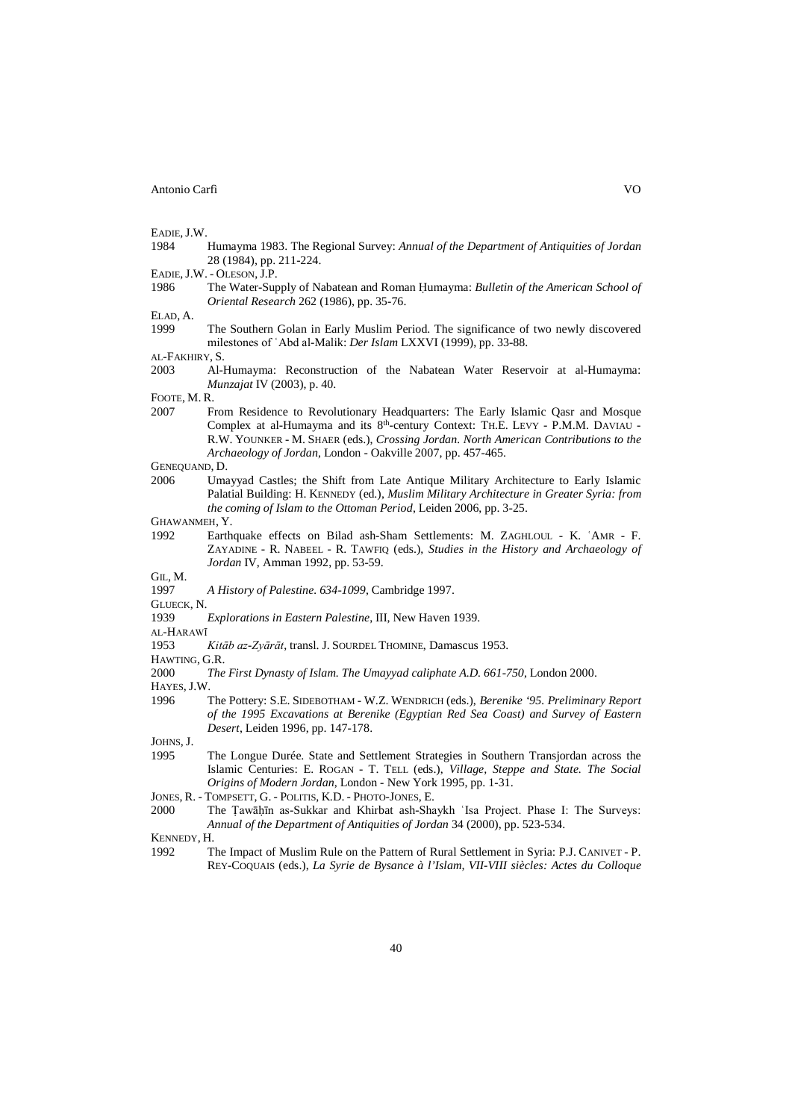EADIE, J.W.<br>1984 1984 Humayma 1983. The Regional Survey: *Annual of the Department of Antiquities of Jordan* 28 (1984), pp. 211-224.

EADIE, J.W. - OLESON, J.P.<br>1986 The Water-Sur 1986 The Water-Supply of Nabatean and Roman Ḥumayma: *Bulletin of the American School of Oriental Research* 262 (1986), pp. 35-76.

ELAD, A.

The Southern Golan in Early Muslim Period. The significance of two newly discovered milestones of ʿAbd al-Malik: *Der Islam* LXXVI (1999), pp. 33-88.

AL-FAKHIRY, S.

2003 Al-Humayma: Reconstruction of the Nabatean Water Reservoir at al-Humayma: *Munzajat* IV (2003), p. 40.

FOOTE, M. R.

2007 From Residence to Revolutionary Headquarters: The Early Islamic Qasr and Mosque Complex at al-Humayma and its 8<sup>th</sup>-century Context: TH.E. LEVY - P.M.M. DAVIAU -R.W. YOUNKER - M. SHAER (eds.), *Crossing Jordan. North American Contributions to the Archaeology of Jordan*, London - Oakville 2007, pp. 457-465.

GENEQUAND, D.

2006 Umayyad Castles; the Shift from Late Antique Military Architecture to Early Islamic Palatial Building: H. KENNEDY (ed.), *Muslim Military Architecture in Greater Syria: from the coming of Islam to the Ottoman Period*, Leiden 2006, pp. 3-25.

GHAWANMEH, Y.

1992 Earthquake effects on Bilad ash-Sham Settlements: M. ZAGHLOUL - K. ʿAMR - F. ZAYADINE - R. NABEEL - R. TAWFIQ (eds.), *Studies in the History and Archaeology of Jordan* IV, Amman 1992, pp. 53-59.

GIL, M.

1997 *A History of Palestine. 634-1099*, Cambridge 1997.

GLUECK, N.

1939 *Explorations in Eastern Palestine*, III, New Haven 1939.

AL-HARAWĪ

1953 *Kitāb az-Zyārāt*, transl. J. SOURDEL THOMINE, Damascus 1953.

HAWTING, G.R.

2000 *The First Dynasty of Islam. The Umayyad caliphate A.D. 661-750*, London 2000.

HAYES,J.W.

1996 The Pottery: S.E. SIDEBOTHAM - W.Z. WENDRICH (eds.), *Berenike '95. Preliminary Report of the 1995 Excavations at Berenike (Egyptian Red Sea Coast) and Survey of Eastern Desert*, Leiden 1996, pp. 147-178.

JOHNS, J.<br>1995

1995 The Longue Durée. State and Settlement Strategies in Southern Transjordan across the Islamic Centuries: E. ROGAN - T. TELL (eds.), *Village, Steppe and State. The Social Origins of Modern Jordan*, London - New York 1995, pp. 1-31.

- 2000 The Ṭawāḥı̄n as-Sukkar and Khirbat ash-Shaykh ʿIsa Project. Phase I: The Surveys: *Annual of the Department of Antiquities of Jordan* 34 (2000), pp. 523-534.
- KENNEDY, H.
- 1992 The Impact of Muslim Rule on the Pattern of Rural Settlement in Syria: P.J. CANIVET P. REY-COQUAIS (eds.), *La Syrie de Bysance à l'Islam, VII-VIII siècles: Actes du Colloque*

40

JONES, R. - TOMPSETT, G. - POLITIS, K.D. - PHOTO-JONES, E.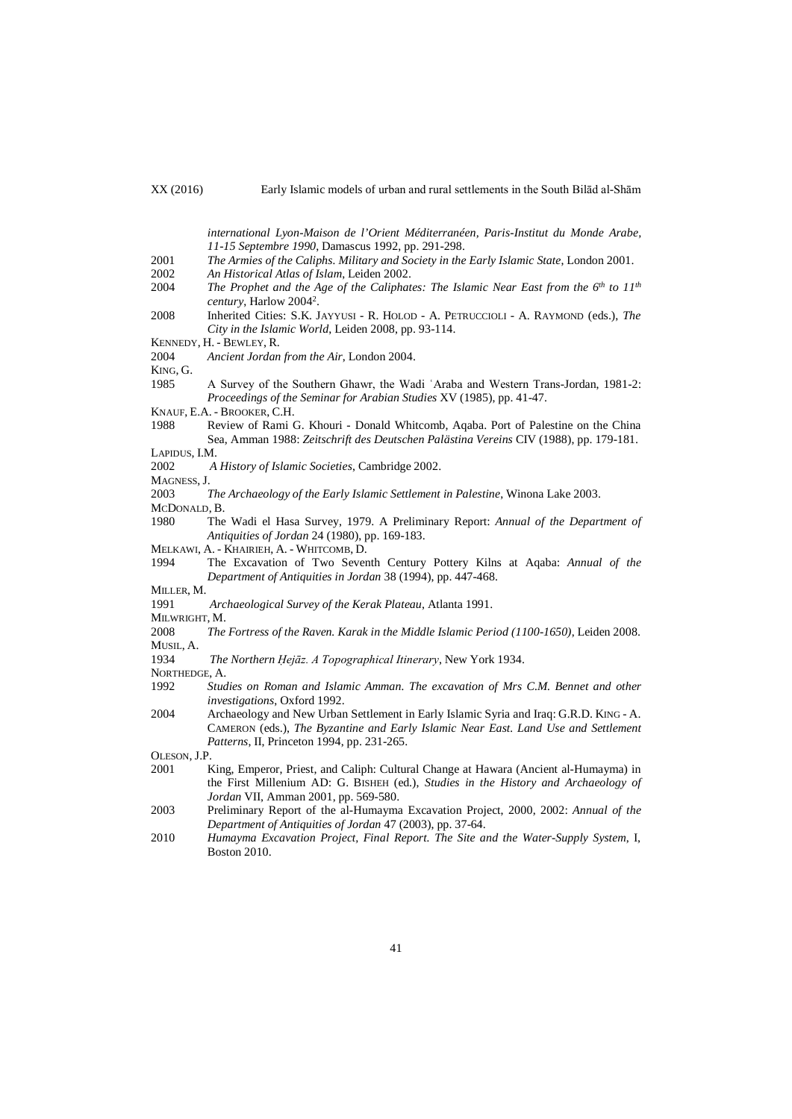*international Lyon-Maison de l'Orient Méditerranéen, Paris-Institut du Monde Arabe, 11-15 Septembre 1990*, Damascus 1992, pp. 291-298.

- 2001 *The Armies of the Caliphs. Military and Society in the Early Islamic State*, London 2001.
- 2002 *An Historical Atlas of Islam*, Leiden 2002.
- The Prophet and the Age of the Caliphates: The Islamic Near East from the 6<sup>th</sup> to 11<sup>th</sup> *century*, Harlow 20042.
- 2008 Inherited Cities: S.K. JAYYUSI R. HOLOD A. PETRUCCIOLI A. RAYMOND (eds.), *The City in the Islamic World*, Leiden 2008, pp. 93-114.
- KENNEDY, H. BEWLEY, R.
- 2004 *Ancient Jordan from the Air*, London 2004.
- KING, G.
- 1985 A Survey of the Southern Ghawr, the Wadi ʿAraba and Western Trans-Jordan, 1981-2: *Proceedings of the Seminar for Arabian Studies* XV (1985), pp. 41-47.
- KNAUF, E.A. BROOKER, C.H.
- 1988 Review of Rami G. Khouri Donald Whitcomb, Aqaba. Port of Palestine on the China Sea, Amman 1988: *Zeitschrift des Deutschen Palästina Vereins* CIV (1988), pp. 179-181. LAPIDUS, I.M.
- 
- 2002 *A History of Islamic Societies*, Cambridge 2002.
- MAGNESS, J.
- 2003 *The Archaeology of the Early Islamic Settlement in Palestine*, Winona Lake 2003.
- MCDONALD, B.
- 1980 The Wadi el Hasa Survey, 1979. A Preliminary Report: *Annual of the Department of Antiquities of Jordan* 24 (1980), pp. 169-183.
- MELKAWI, A. KHAIRIEH, A. WHITCOMB, D.
- 1994 The Excavation of Two Seventh Century Pottery Kilns at Aqaba: *Annual of the Department of Antiquities in Jordan* 38 (1994), pp. 447-468.
- **MILLER, M.**<br>1991
- 1991 *Archaeological Survey of the Kerak Plateau*, Atlanta 1991.
- MILWRIGHT, M.
- 2008 *The Fortress of the Raven. Karak in the Middle Islamic Period (1100-1650)*, Leiden 2008. MUSIL, A.
- 1934 *The Northern Ḥejāz. A Topographical Itinerary*, New York 1934.
- NORTHEDGE, A.
- 1992 *Studies on Roman and Islamic Amman. The excavation of Mrs C.M. Bennet and other investigations*, Oxford 1992.
- 2004 Archaeology and New Urban Settlement in Early Islamic Syria and Iraq: G.R.D. KING A. CAMERON (eds.), *The Byzantine and Early Islamic Near East. Land Use and Settlement Patterns*, II, Princeton 1994, pp. 231-265.

OLESON, J.P.<br>2001 1

- King, Emperor, Priest, and Caliph: Cultural Change at Hawara (Ancient al-Humayma) in the First Millenium AD: G. BISHEH (ed.), *Studies in the History and Archaeology of Jordan* VII, Amman 2001, pp. 569-580.
- 2003 Preliminary Report of the al-Humayma Excavation Project, 2000, 2002: *Annual of the Department of Antiquities of Jordan* 47 (2003), pp. 37-64.
- 2010 *Humayma Excavation Project, Final Report. The Site and the Water-Supply System*, I, Boston 2010.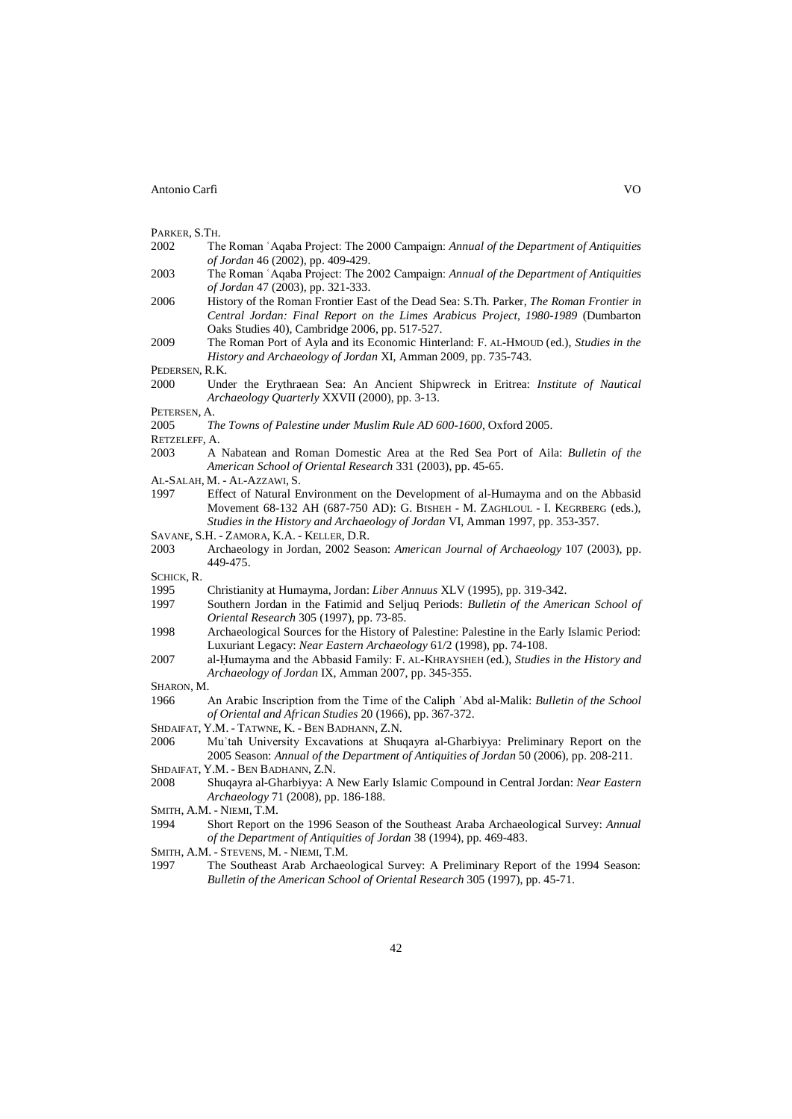PARKER, S.TH.

- 2002 The Roman ʿAqaba Project: The 2000 Campaign: *Annual of the Department of Antiquities of Jordan* 46 (2002), pp. 409-429.
- 2003 The Roman ʿAqaba Project: The 2002 Campaign: *Annual of the Department of Antiquities of Jordan* 47 (2003), pp. 321-333.
- 2006 History of the Roman Frontier East of the Dead Sea: S.Th. Parker, *The Roman Frontier in Central Jordan: Final Report on the Limes Arabicus Project, 1980-1989* (Dumbarton Oaks Studies 40), Cambridge 2006, pp. 517-527.
- 2009 The Roman Port of Ayla and its Economic Hinterland: F. AL-HMOUD (ed.), *Studies in the History and Archaeology of Jordan* XI, Amman 2009, pp. 735-743.

PEDERSEN, R.K.

2000 Under the Erythraean Sea: An Ancient Shipwreck in Eritrea: *Institute of Nautical Archaeology Quarterly* XXVII (2000), pp. 3-13.

PETERSEN, A.

2005 *The Towns of Palestine under Muslim Rule AD 600-1600*, Oxford 2005.

RETZELEFF, A.

- 2003 A Nabatean and Roman Domestic Area at the Red Sea Port of Aila: *Bulletin of the American School of Oriental Research* 331 (2003), pp. 45-65.
- AL-SALAH, M. AL-AZZAWI, S.
- 1997 Effect of Natural Environment on the Development of al-Humayma and on the Abbasid Movement 68-132 AH (687-750 AD): G. BISHEH - M. ZAGHLOUL - I. KEGRBERG (eds.), *Studies in the History and Archaeology of Jordan* VI, Amman 1997, pp. 353-357.
- SAVANE, S.H. ZAMORA, K.A. KELLER, D.R.
- 2003 Archaeology in Jordan, 2002 Season: *American Journal of Archaeology* 107 (2003), pp. 449-475.

SCHICK, R.

- 1995 Christianity at Humayma, Jordan: *Liber Annuus* XLV (1995), pp. 319-342.
- Southern Jordan in the Fatimid and Seljuq Periods: *Bulletin of the American School of Oriental Research* 305 (1997), pp. 73-85.
- 1998 Archaeological Sources for the History of Palestine: Palestine in the Early Islamic Period: Luxuriant Legacy: *Near Eastern Archaeology* 61/2 (1998), pp. 74-108.
- 2007 al-Ḥumayma and the Abbasid Family: F. AL-KHRAYSHEH (ed.), *Studies in the History and Archaeology of Jordan* IX, Amman 2007, pp. 345-355.

#### SHARON, M.

- 1966 An Arabic Inscription from the Time of the Caliph ʿAbd al-Malik: *Bulletin of the School of Oriental and African Studies* 20 (1966), pp. 367-372.
- SHDAIFAT, Y.M. TATWNE, K. BEN BADHANN, Z.N.
- 2006 Muʾtah University Excavations at Shuqayra al-Gharbiyya: Preliminary Report on the 2005 Season: *Annual of the Department of Antiquities of Jordan* 50 (2006), pp. 208-211.
- SHDAIFAT, Y.M. BEN BADHANN, Z.N.
- 2008 Shuqayra al-Gharbiyya: A New Early Islamic Compound in Central Jordan: *Near Eastern Archaeology* 71 (2008), pp. 186-188.

- 1994 Short Report on the 1996 Season of the Southeast Araba Archaeological Survey: *Annual of the Department of Antiquities of Jordan* 38 (1994), pp. 469-483.
- SMITH, A.M. STEVENS, M. NIEMI, T.M.
- 1997 The Southeast Arab Archaeological Survey: A Preliminary Report of the 1994 Season: *Bulletin of the American School of Oriental Research* 305 (1997), pp. 45-71.

SMITH, A.M. - NIEMI, T.M.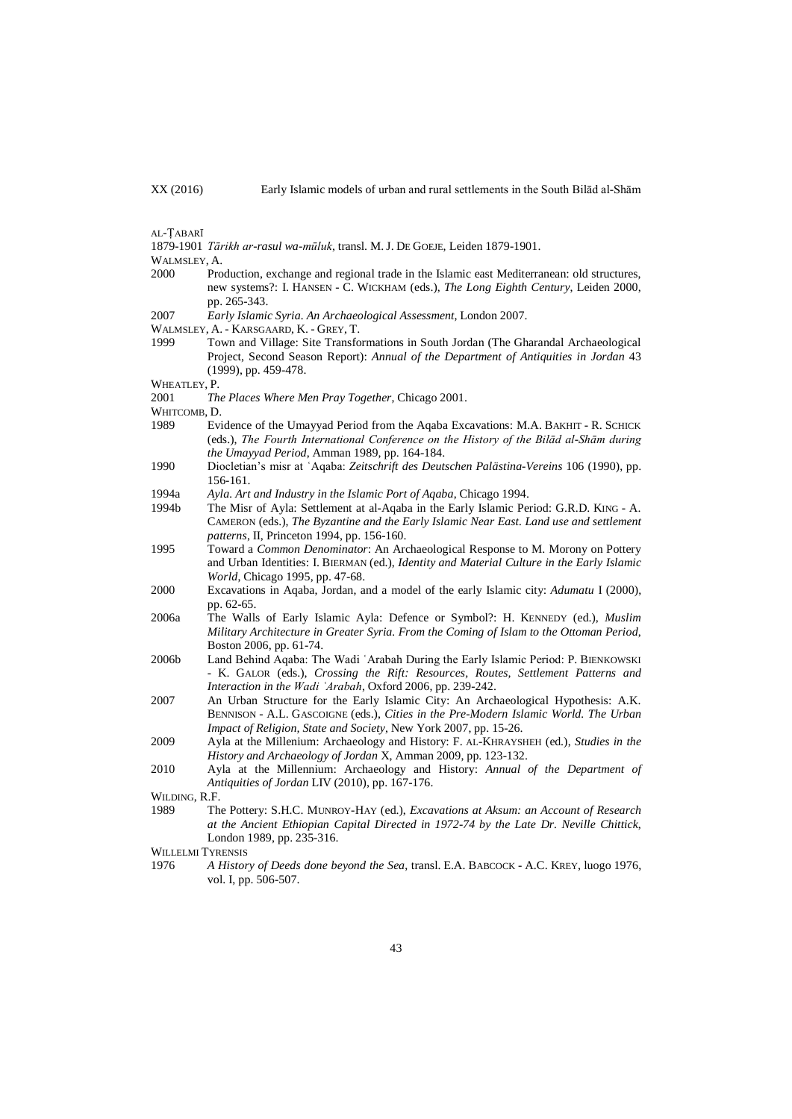AL-ṬABARĪ

1879-1901 *Tārikh ar-rasul wa-mūluk*, transl. M. J. DE GOEJE, Leiden 1879-1901.

WALMSLEY, A.

- 2000 Production, exchange and regional trade in the Islamic east Mediterranean: old structures, new systems?: I. HANSEN - C. WICKHAM (eds.), *The Long Eighth Century*, Leiden 2000, pp. 265-343.
- 2007 *Early Islamic Syria. An Archaeological Assessment*, London 2007.
- WALMSLEY, A. KARSGAARD, K. GREY, T.
- 1999 Town and Village: Site Transformations in South Jordan (The Gharandal Archaeological Project, Second Season Report): *Annual of the Department of Antiquities in Jordan* 43 (1999), pp. 459-478.

WHEATLEY, P.

2001 *The Places Where Men Pray Together*, Chicago 2001.

WHITCOMB, D.

- 1989 Evidence of the Umayyad Period from the Aqaba Excavations: M.A. BAKHIT R. SCHICK (eds.), *The Fourth International Conference on the History of the Bilād al-Shām during the Umayyad Period*, Amman 1989, pp. 164-184.
- 1990 Diocletian's misr at ʿAqaba: *Zeitschrift des Deutschen Palästina-Vereins* 106 (1990), pp. 156-161.
- 1994a *Ayla. Art and Industry in the Islamic Port of Aqaba*, Chicago 1994.
- 1994b The Misr of Ayla: Settlement at al-Aqaba in the Early Islamic Period: G.R.D. KING A. CAMERON (eds.), *The Byzantine and the Early Islamic Near East. Land use and settlement patterns*, II, Princeton 1994, pp. 156-160.
- 1995 Toward a *Common Denominator*: An Archaeological Response to M. Morony on Pottery and Urban Identities: I. BIERMAN (ed.), *Identity and Material Culture in the Early Islamic World*, Chicago 1995, pp. 47-68.
- 2000 Excavations in Aqaba, Jordan, and a model of the early Islamic city: *Adumatu* I (2000), pp. 62-65.
- 2006a The Walls of Early Islamic Ayla: Defence or Symbol?: H. KENNEDY (ed.), *Muslim Military Architecture in Greater Syria. From the Coming of Islam to the Ottoman Period*, Boston 2006, pp. 61-74.
- 2006b Land Behind Aqaba: The Wadi ʿArabah During the Early Islamic Period: P. BIENKOWSKI - K. GALOR (eds.), *Crossing the Rift: Resources, Routes, Settlement Patterns and Interaction in the Wadi ʿArabah*, Oxford 2006, pp. 239-242.
- 2007 An Urban Structure for the Early Islamic City: An Archaeological Hypothesis: A.K. BENNISON - A.L. GASCOIGNE (eds.), *Cities in the Pre-Modern Islamic World. The Urban Impact of Religion, State and Society*, New York 2007, pp. 15-26.
- 2009 Ayla at the Millenium: Archaeology and History: F. AL-KHRAYSHEH (ed.), *Studies in the History and Archaeology of Jordan* X, Amman 2009, pp. 123-132.
- 2010 Ayla at the Millennium: Archaeology and History: *Annual of the Department of Antiquities of Jordan* LIV (2010), pp. 167-176.

WILDING, R.F.

- 1989 The Pottery: S.H.C. MUNROY-HAY (ed.), *Excavations at Aksum: an Account of Research at the Ancient Ethiopian Capital Directed in 1972-74 by the Late Dr. Neville Chittick*, London 1989, pp. 235-316.
- WILLELMI TYRENSIS
- 1976 *A History of Deeds done beyond the Sea*, transl. E.A. BABCOCK A.C. KREY, luogo 1976, vol. I, pp. 506-507.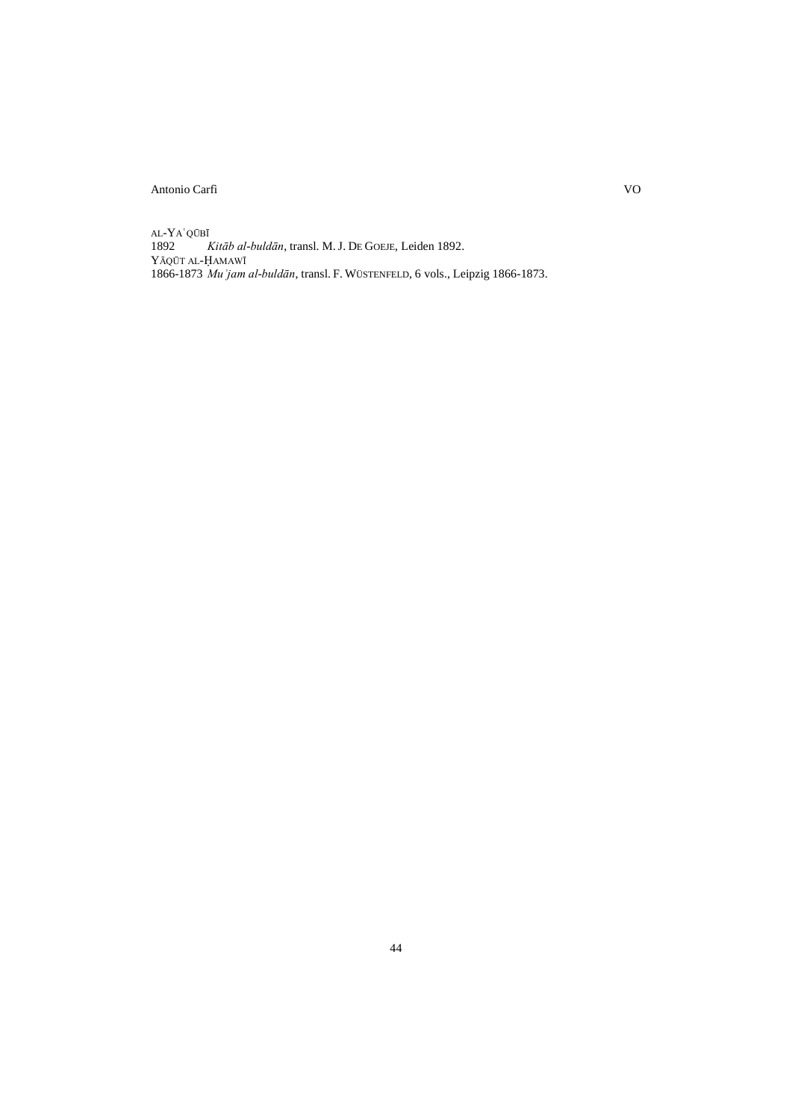AL-YAʿQŪBĪ<br>1892 $\frac{1}{2}$ 1892 *Kitāb al-buldān*, transl. M. J. DE GOEJE, Leiden 1892. YĀQŪT AL-ḤAMAWĪ 1866-1873 *Muʾjam al-buldān*, transl. F. WÜSTENFELD, 6 vols., Leipzig 1866-1873.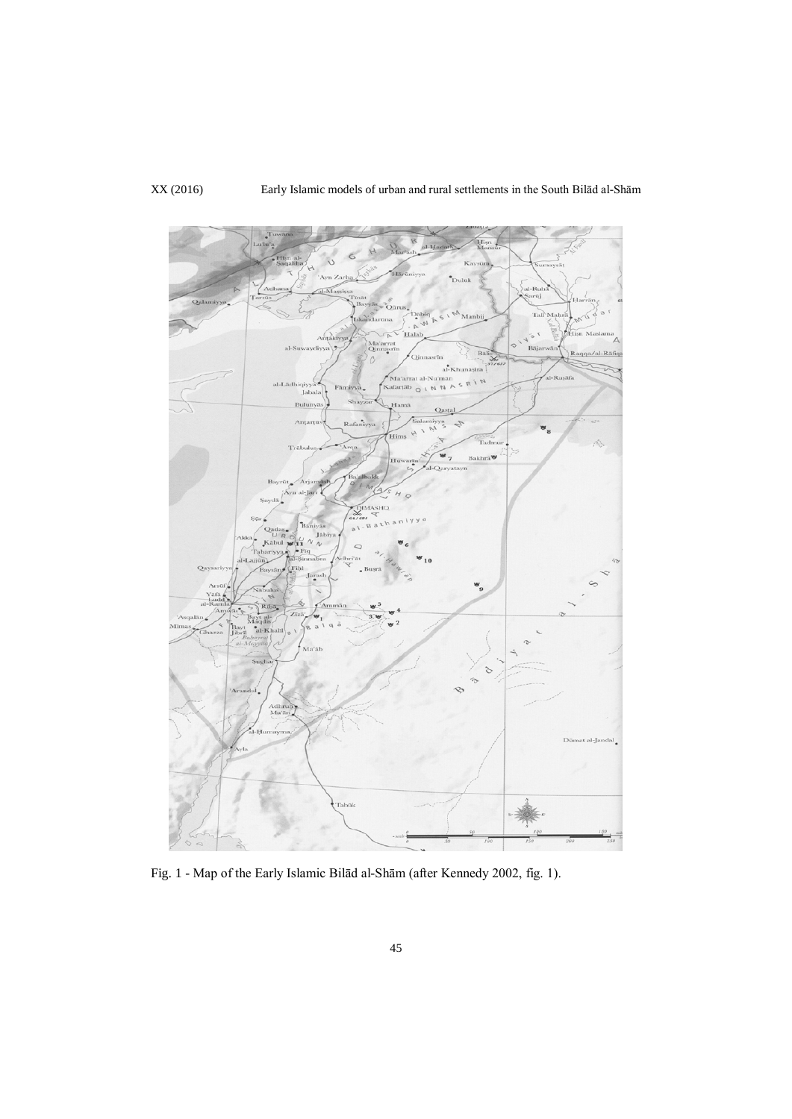

Fig. 1 - Map of the Early Islamic Bilād al-Shām (after Kennedy 2002, fig. 1).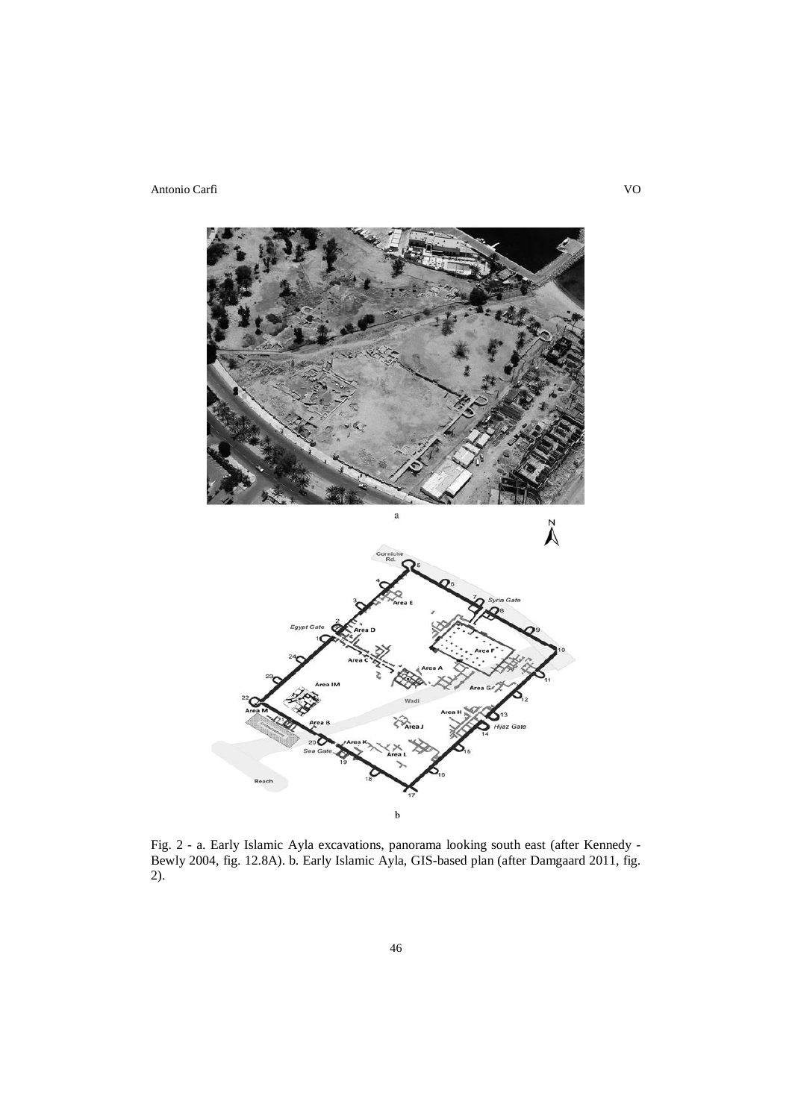

Fig. 2 - a. Early Islamic Ayla excavations, panorama looking south east (after Kennedy - Bewly 2004, fig. 12.8A). b. Early Islamic Ayla, GIS-based plan (after Damgaard 2011, fig. 2).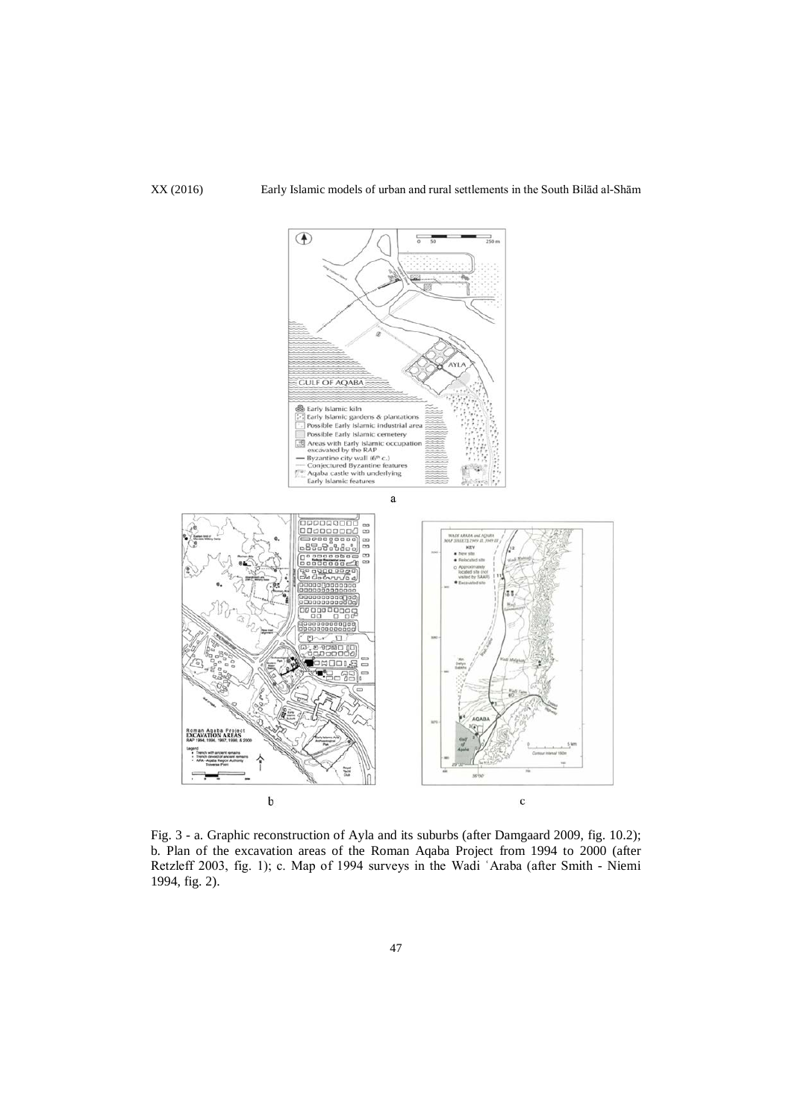

Fig. 3 - a. Graphic reconstruction of Ayla and its suburbs (after Damgaard 2009, fig. 10.2); b. Plan of the excavation areas of the Roman Aqaba Project from 1994 to 2000 (after Retzleff 2003, fig. 1); c. Map of 1994 surveys in the Wadi ʿAraba (after Smith - Niemi 1994, fig. 2).